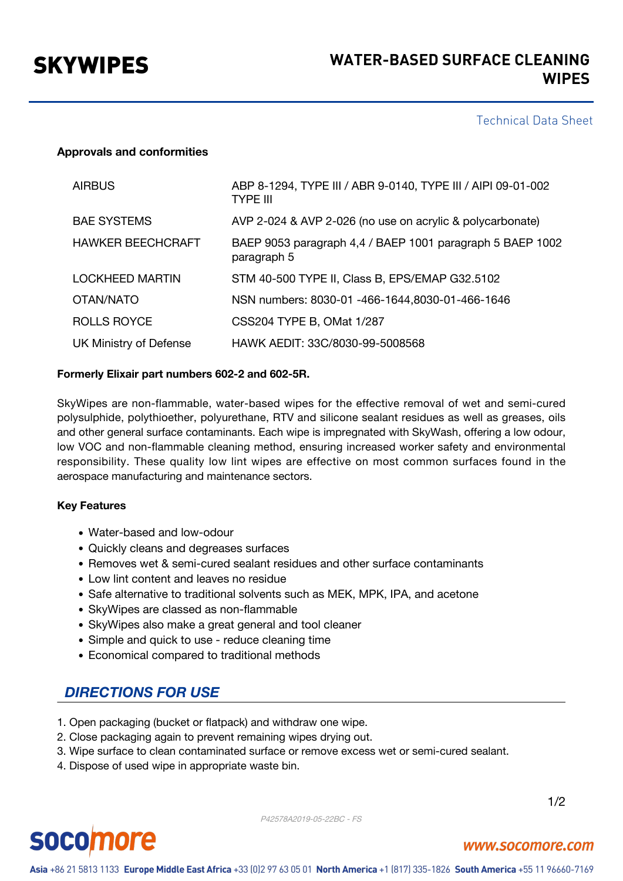## Technical Data Sheet

## **Approvals and conformities**

| <b>AIRBUS</b>            | ABP 8-1294, TYPE III / ABR 9-0140, TYPE III / AIPI 09-01-002<br><b>TYPE III</b> |
|--------------------------|---------------------------------------------------------------------------------|
| <b>BAE SYSTEMS</b>       | AVP 2-024 & AVP 2-026 (no use on acrylic & polycarbonate)                       |
| <b>HAWKER BEECHCRAFT</b> | BAEP 9053 paragraph 4,4 / BAEP 1001 paragraph 5 BAEP 1002<br>paragraph 5        |
| <b>LOCKHEED MARTIN</b>   | STM 40-500 TYPE II, Class B, EPS/EMAP G32.5102                                  |
| OTAN/NATO                | NSN numbers: 8030-01 -466-1644,8030-01-466-1646                                 |
| <b>ROLLS ROYCE</b>       | CSS204 TYPE B, OMat 1/287                                                       |
| UK Ministry of Defense   | HAWK AEDIT: 33C/8030-99-5008568                                                 |

## **Formerly Elixair part numbers 602-2 and 602-5R.**

SkyWipes are non-flammable, water-based wipes for the effective removal of wet and semi-cured polysulphide, polythioether, polyurethane, RTV and silicone sealant residues as well as greases, oils and other general surface contaminants. Each wipe is impregnated with SkyWash, offering a low odour, low VOC and non-flammable cleaning method, ensuring increased worker safety and environmental responsibility. These quality low lint wipes are effective on most common surfaces found in the aerospace manufacturing and maintenance sectors.

#### **Key Features**

- Water-based and low-odour
- Quickly cleans and degreases surfaces
- Removes wet & semi-cured sealant residues and other surface contaminants
- Low lint content and leaves no residue
- Safe alternative to traditional solvents such as MEK, MPK, IPA, and acetone
- SkyWipes are classed as non-flammable
- SkyWipes also make a great general and tool cleaner
- Simple and quick to use reduce cleaning time
- Economical compared to traditional methods

## *DIRECTIONS FOR USE*

- 1. Open packaging (bucket or flatpack) and withdraw one wipe.
- 2. Close packaging again to prevent remaining wipes drying out.
- 3. Wipe surface to clean contaminated surface or remove excess wet or semi-cured sealant.
- 4. Dispose of used wipe in appropriate waste bin.

P42578A2019-05-22BC - FS

1/2